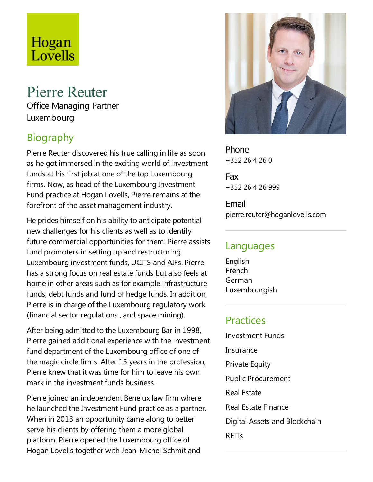# Hogan Lovells

# Pierre Reuter

Office Managing Partner Luxembourg

# Biography

Pierre Reuter discovered his true calling in life as soon as he got immersed in the exciting world of investment funds at his first job at one of the top Luxembourg firms. Now, as head of the Luxembourg Investment Fund practice at Hogan Lovells, Pierre remains at the forefront of the asset management industry.

He prides himself on his ability to anticipate potential new challenges for his clients as well as to identify future commercial opportunities for them. Pierre assists fund promoters in setting up and restructuring Luxembourg investment funds, UCITS and AIFs. Pierre has a strong focus on real estate funds but also feels at home in other areas such as for example infrastructure funds, debt funds and fund of hedge funds. In addition, Pierre is in charge of the Luxembourg regulatory work (financial sector regulations, and space mining).

After being admitted to the Luxembourg Bar in 1998, Pierre gained additional experience with the investment fund department of the Luxembourg office of one of the magic circle firms. After 15 years in the profession, Pierre knew that it was time for him to leave his own mark in the investment funds business.

Pierre joined an independent Benelux law firm where he launched the Investment Fund practice as a partner. When in 2013 an opportunity came along to better serve his clients by offering them a more global platform, Pierre opened the Luxembourg office of Hogan Lovells together with Jean-Michel Schmit and



Phone +352 26 4 26 0

Fax +352 26 4 26 999

Email pierre.reuter@hoganlovells.com

#### Languages

English French German Luxembourgish

### Practices

Investment Funds Insurance **Private Equity** Public Procurement Real Estate Real Estate Finance Digital Assets and Blockchain REITs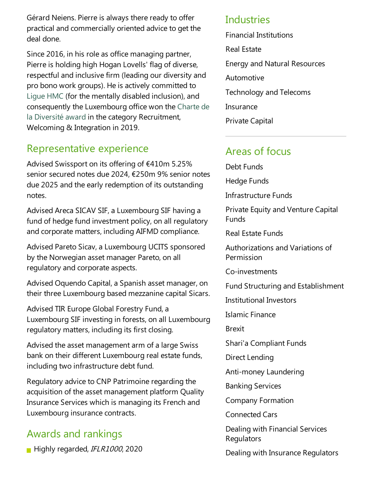Gérard Neiens. Pierre is always there ready to offer practical and commercially oriented advice to get the deal done.

Since 2016, in his role as office managing partner, Pierre is holding high Hogan Lovells' flag of diverse, respectful and inclusive firm (leading our diversity and pro bono work groups). He is actively committed to Ligue HMC (for the mentally disabled inclusion), and consequently the Luxembourg office won the Charte de la Diversité award in the category Recruitment, Welcoming & Integration in 2019.

## Representative experience

Advised Swissport on its offering of €410m 5.25% senior secured notes due 2024, €250m 9% senior notes due 2025 and the early redemption of its outstanding notes.

Advised Areca SICAV SIF, a Luxembourg SIF having a fund of hedge fund investment policy, on all regulatory and corporate matters, including AIFMD compliance.

Advised Pareto Sicav, a Luxembourg UCITS sponsored by the Norwegian asset manager Pareto, on all regulatory and corporate aspects.

Advised Oquendo Capital, a Spanish asset manager, on their three Luxembourg based mezzanine capital Sicars.

Advised TIR Europe Global Forestry Fund, a Luxembourg SIF investing in forests, on all Luxembourg regulatory matters, including its first closing.

Advised the asset management arm of a large Swiss bank on their different Luxembourg real estate funds, including two infrastructure debt fund.

Regulatory advice to CNP Patrimoine regarding the acquisition of the asset management platform Quality Insurance Services which is managing its French and Luxembourg insurance contracts.

## Awards and rankings

Highly regarded, IFLR1000, 2020

#### Industries

Financial Institutions Real Estate Energy and Natural Resources Automotive Technology and Telecoms **Insurance** Private Capital

## Areas of focus

Debt Funds

Hedge Funds

Infrastructure Funds

Private Equity and Venture Capital Funds

Real Estate Funds

Authorizations and Variations of Permission

Co-investments

Fund Structuring and Establishment

Institutional Investors

Islamic Finance

Brexit

Shari'a Compliant Funds

Direct Lending

Anti-money Laundering

Banking Services

Company Formation

Connected Cars

Dealing with Financial Services Regulators

Dealing with Insurance Regulators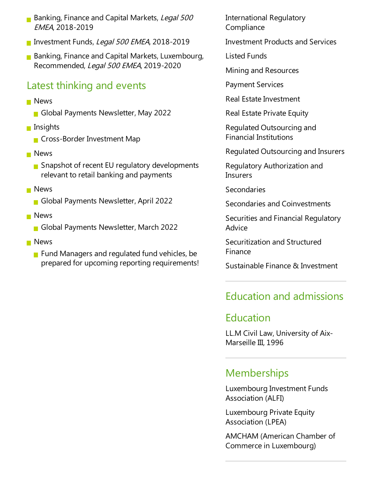- Banking, Finance and Capital Markets, Legal 500 EMEA, 2018-2019
- Investment Funds, Legal 500 EMEA, 2018-2019
- **Banking, Finance and Capital Markets, Luxembourg,** Recommended, Legal 500 EMEA, 2019-2020

## Latest thinking and events

- **News** 
	- Global Payments Newsletter, May 2022
- **n** Insights
	- **Cross-Border Investment Map**
- **News** 
	- $\blacksquare$  Snapshot of recent EU regulatory developments relevant to retail banking and payments
- **News** 
	- Global Payments Newsletter, April 2022
- **News** 
	- Global Payments Newsletter, March 2022
- **News** 
	- $\blacksquare$  Fund Managers and regulated fund vehicles, be prepared for upcoming reporting requirements!

International Regulatory **Compliance** 

- Investment Products and Services
- Listed Funds

Mining and Resources

Payment Services

Real Estate Investment

Real Estate Private Equity

Regulated Outsourcing and Financial Institutions

Regulated Outsourcing and Insurers

Regulatory Authorization and **Insurers** 

Secondaries

Secondaries and Coinvestments

Securities and Financial Regulatory Advice

Securitization and Structured Finance

Sustainable Finance & Investment

# Education and admissions

# Education

LL.M Civil Law, University of Aix-Marseille III, 1996

# **Memberships**

Luxembourg Investment Funds Association (ALFI)

Luxembourg Private Equity Association (LPEA)

AMCHAM (American Chamber of Commerce in Luxembourg)